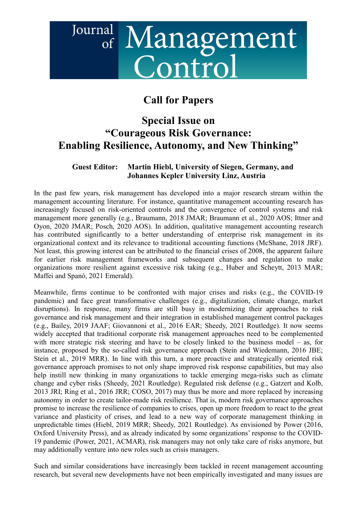## Journal <sup>al</sup> Management<br>Control

## Call for Papers

## Special Issue on "Courageous Risk Governance: Enabling Resilience, Autonomy, and New Thinking"

## Guest Editor: Martin Hiebl, University of Siegen, Germany, and Johannes Kepler University Linz, Austria

In the past few years, risk management has developed into a major research stream within the management accounting literature. For instance, quantitative management accounting research has increasingly focused on risk-oriented controls and the convergence of control systems and risk management more generally (e.g., Braumann, 2018 JMAR; Braumann et al., 2020 AOS; Ittner and Oyon, 2020 JMAR; Posch, 2020 AOS). In addition, qualitative management accounting research has contributed significantly to a better understanding of enterprise risk management in its organizational context and its relevance to traditional accounting functions (McShane, 2018 JRF). Not least, this growing interest can be attributed to the financial crises of 2008, the apparent failure for earlier risk management frameworks and subsequent changes and regulation to make organizations more resilient against excessive risk taking (e.g., Huber and Scheytt, 2013 MAR; Maffei and Spanó, 2021 Emerald).

Meanwhile, firms continue to be confronted with major crises and risks (e.g., the COVID-19 pandemic) and face great transformative challenges (e.g., digitalization, climate change, market disruptions). In response, many firms are still busy in modernizing their approaches to risk governance and risk management and their integration in established management control packages (e.g., Bailey, 2019 JAAF; Giovannoni et al., 2016 EAR; Sheedy, 2021 Routledge). It now seems widely accepted that traditional corporate risk management approaches need to be complemented with more strategic risk steering and have to be closely linked to the business model – as, for instance, proposed by the so-called risk governance approach (Stein and Wiedemann, 2016 JBE; Stein et al., 2019 MRR). In line with this turn, a more proactive and strategically oriented risk governance approach promises to not only shape improved risk response capabilities, but may also help instill new thinking in many organizations to tackle emerging mega-risks such as climate change and cyber risks (Sheedy, 2021 Routledge). Regulated risk defense (e.g., Gatzert and Kolb, 2013 JRI; Ring et al., 2016 JRR; COSO, 2017) may thus be more and more replaced by increasing autonomy in order to create tailor-made risk resilience. That is, modern risk governance approaches promise to increase the resilience of companies to crises, open up more freedom to react to the great variance and plasticity of crises, and lead to a new way of corporate management thinking in unpredictable times (Hiebl, 2019 MRR; Sheedy, 2021 Routledge). As envisioned by Power (2016, Oxford University Press), and as already indicated by some organizations' response to the COVID-19 pandemic (Power, 2021, ACMAR), risk managers may not only take care of risks anymore, but may additionally venture into new roles such as crisis managers.

Such and similar considerations have increasingly been tackled in recent management accounting research, but several new developments have not been empirically investigated and many issues are